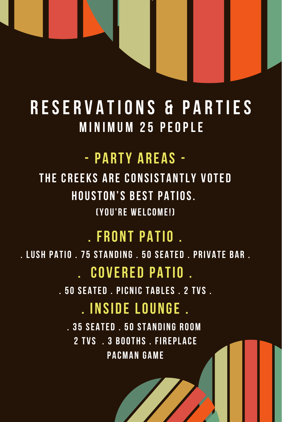### **RESERVATIONS & PARTIES MINIMUM 25 PEOPLE**

### - PARTY AREAS -

THE CREEKS ARE CONSISTANTLY VOTED **HOUSTON'S BEST PATIOS. (YOU'RE WELCOME!)** 

#### **FRONT PATIO.**

. LUSH PATIO. 75 STANDING. 50 SEATED. PRIVATE BAR.

#### **COVERED PATIO.**

.50 SEATED . PICNIC TABLES . 2 TVS .

### **INSIDE LOUNGE.**

. 35 SEATED . 50 STANDING ROOM 2 TVS 3 ROOTHS FIREPLACE **PACMAN GAME**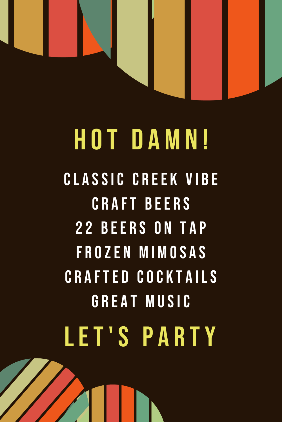

# **HOT DAMN! CLASSIC CREEK VIBE CRAFT BEERS 22 BEERS ON TAP FROZEN MIMOSAS CRAFTED COCKTAILS GREAT MUSIC LET'S PARTY**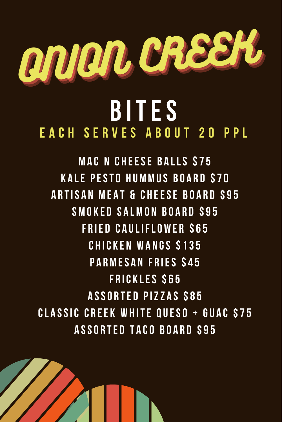

## **BITES EACH SERVES ABOUT 20 PPL**

**MAC N CHEESE BALLS \$75 KALE PESTO HUMMUS BOARD \$70 ARTISAN MEAT & CHEESE BOARD \$95** SMOKED SALMON BOARD \$95 **FRIED CAULIFLOWER S65 CHICKEN WANGS \$135 PARMESAN FRIES \$45 FRICKLES S65 ASSORTED PIZZAS S85 CLASSIC CREEK WHITE QUESO + GUAC \$75 ASSORTED TACO BOARD \$95**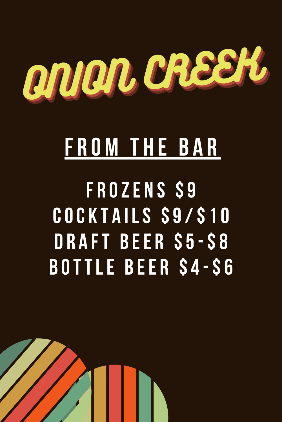

## **FROM THE BAR**

FROZENS \$9 COCKTAILS \$9/\$10 **DRAFT BEER S5-S8 BOTTLE BEER S4-S6**